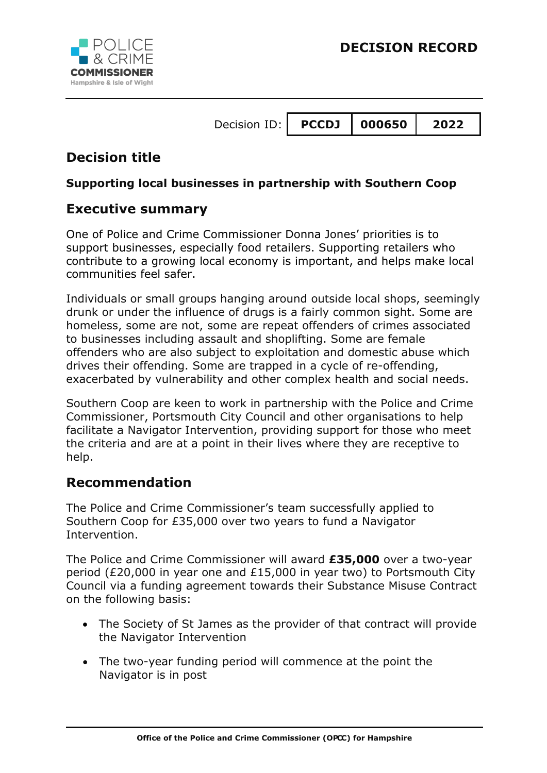

# **Decision title**

### **Supporting local businesses in partnership with Southern Coop**

## **Executive summary**

One of Police and Crime Commissioner Donna Jones' priorities is to support businesses, especially food retailers. Supporting retailers who contribute to a growing local economy is important, and helps make local communities feel safer.

Individuals or small groups hanging around outside local shops, seemingly drunk or under the influence of drugs is a fairly common sight. Some are homeless, some are not, some are repeat offenders of crimes associated to businesses including assault and shoplifting. Some are female offenders who are also subject to exploitation and domestic abuse which drives their offending. Some are trapped in a cycle of re-offending, exacerbated by vulnerability and other complex health and social needs.

Southern Coop are keen to work in partnership with the Police and Crime Commissioner, Portsmouth City Council and other organisations to help facilitate a Navigator Intervention, providing support for those who meet the criteria and are at a point in their lives where they are receptive to help.

# **Recommendation**

The Police and Crime Commissioner's team successfully applied to Southern Coop for £35,000 over two years to fund a Navigator Intervention.

The Police and Crime Commissioner will award **£35,000** over a two-year period (£20,000 in year one and £15,000 in year two) to Portsmouth City Council via a funding agreement towards their Substance Misuse Contract on the following basis:

- The Society of St James as the provider of that contract will provide the Navigator Intervention
- The two-year funding period will commence at the point the Navigator is in post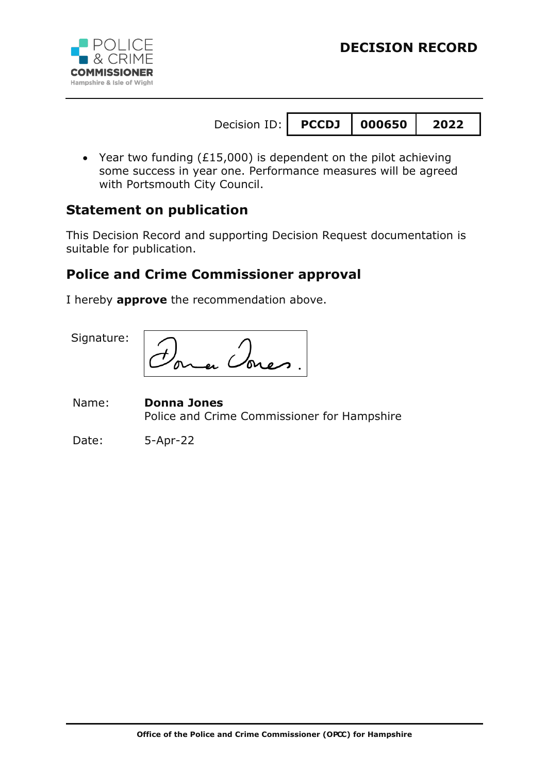

 Year two funding (£15,000) is dependent on the pilot achieving some success in year one. Performance measures will be agreed with Portsmouth City Council.

### **Statement on publication**

This Decision Record and supporting Decision Request documentation is suitable for publication.

## **Police and Crime Commissioner approval**

I hereby **approve** the recommendation above.

Signature:

Name: **Donna Jones** Police and Crime Commissioner for Hampshire

Date: 5-Apr-22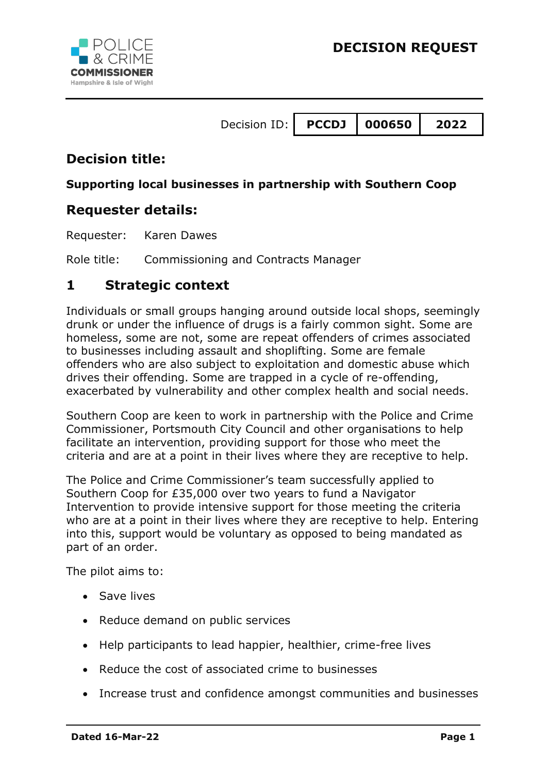



## **Decision title:**

#### **Supporting local businesses in partnership with Southern Coop**

### **Requester details:**

Requester: Karen Dawes

Role title: Commissioning and Contracts Manager

#### **1 Strategic context**

Individuals or small groups hanging around outside local shops, seemingly drunk or under the influence of drugs is a fairly common sight. Some are homeless, some are not, some are repeat offenders of crimes associated to businesses including assault and shoplifting. Some are female offenders who are also subject to exploitation and domestic abuse which drives their offending. Some are trapped in a cycle of re-offending, exacerbated by vulnerability and other complex health and social needs.

Southern Coop are keen to work in partnership with the Police and Crime Commissioner, Portsmouth City Council and other organisations to help facilitate an intervention, providing support for those who meet the criteria and are at a point in their lives where they are receptive to help.

The Police and Crime Commissioner's team successfully applied to Southern Coop for £35,000 over two years to fund a Navigator Intervention to provide intensive support for those meeting the criteria who are at a point in their lives where they are receptive to help. Entering into this, support would be voluntary as opposed to being mandated as part of an order.

The pilot aims to:

- Save lives
- Reduce demand on public services
- Help participants to lead happier, healthier, crime-free lives
- Reduce the cost of associated crime to businesses
- Increase trust and confidence amongst communities and businesses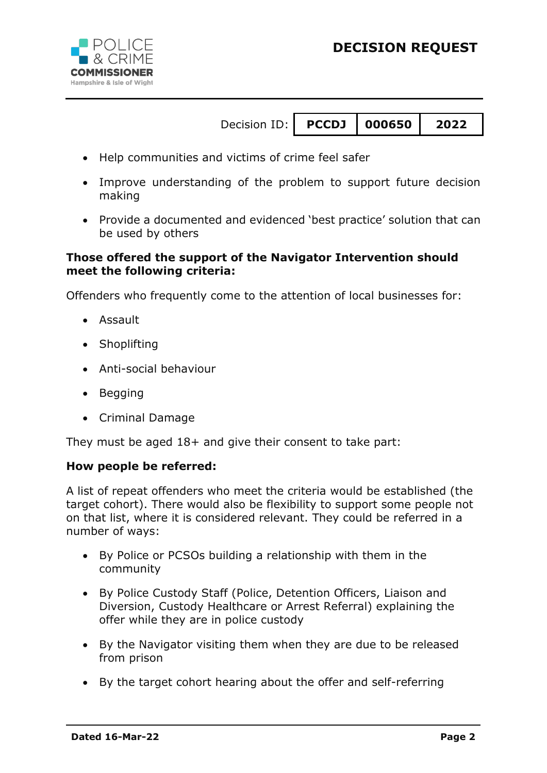

- Help communities and victims of crime feel safer
- Improve understanding of the problem to support future decision making
- Provide a documented and evidenced 'best practice' solution that can be used by others

#### **Those offered the support of the Navigator Intervention should meet the following criteria:**

Offenders who frequently come to the attention of local businesses for:

- Assault
- Shoplifting
- Anti-social behaviour
- Begging
- Criminal Damage

They must be aged 18+ and give their consent to take part:

#### **How people be referred:**

A list of repeat offenders who meet the criteria would be established (the target cohort). There would also be flexibility to support some people not on that list, where it is considered relevant. They could be referred in a number of ways:

- By Police or PCSOs building a relationship with them in the community
- By Police Custody Staff (Police, Detention Officers, Liaison and Diversion, Custody Healthcare or Arrest Referral) explaining the offer while they are in police custody
- By the Navigator visiting them when they are due to be released from prison
- By the target cohort hearing about the offer and self-referring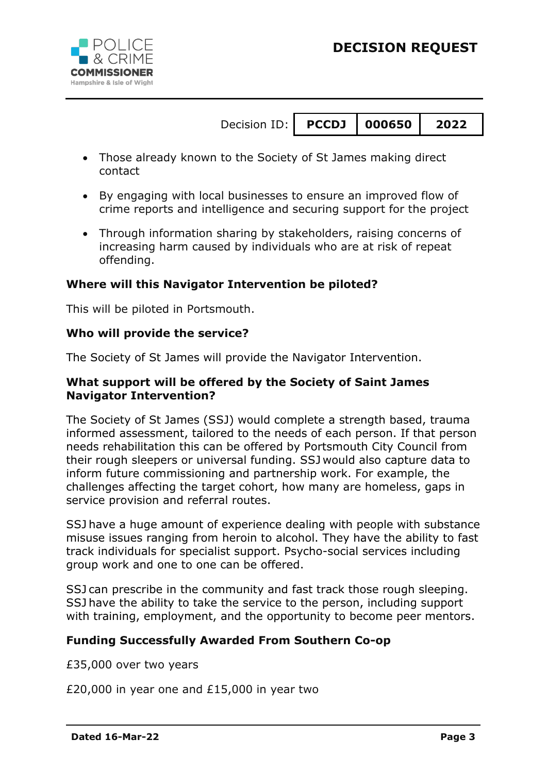



- 
- Those already known to the Society of St James making direct contact
- By engaging with local businesses to ensure an improved flow of crime reports and intelligence and securing support for the project
- Through information sharing by stakeholders, raising concerns of increasing harm caused by individuals who are at risk of repeat offending.

#### **Where will this Navigator Intervention be piloted?**

This will be piloted in Portsmouth.

#### **Who will provide the service?**

The Society of St James will provide the Navigator Intervention.

#### **What support will be offered by the Society of Saint James Navigator Intervention?**

The Society of St James (SSJ) would complete a strength based, trauma informed assessment, tailored to the needs of each person. If that person needs rehabilitation this can be offered by Portsmouth City Council from their rough sleepers or universal funding. SSJ would also capture data to inform future commissioning and partnership work. For example, the challenges affecting the target cohort, how many are homeless, gaps in service provision and referral routes.

SSJ have a huge amount of experience dealing with people with substance misuse issues ranging from heroin to alcohol. They have the ability to fast track individuals for specialist support. Psycho-social services including group work and one to one can be offered.

SSJ can prescribe in the community and fast track those rough sleeping. SSJ have the ability to take the service to the person, including support with training, employment, and the opportunity to become peer mentors.

#### **Funding Successfully Awarded From Southern Co-op**

£35,000 over two years

£20,000 in year one and £15,000 in year two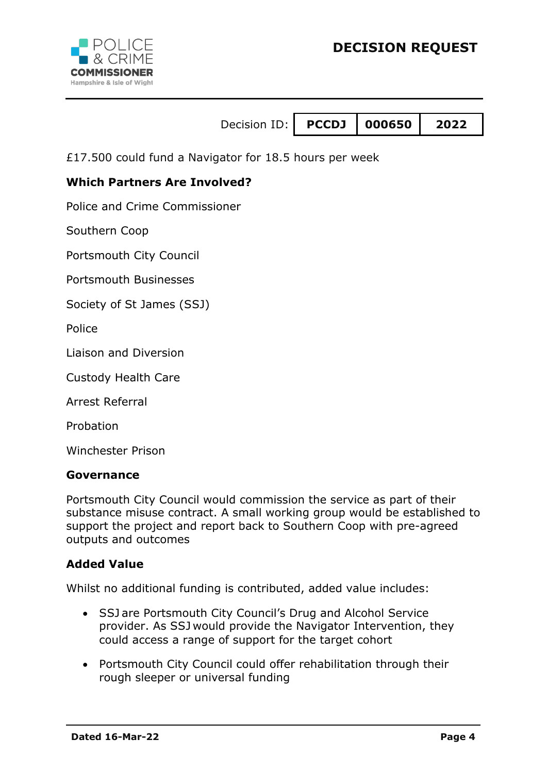

£17.500 could fund a Navigator for 18.5 hours per week

#### **Which Partners Are Involved?**

Police and Crime Commissioner

Southern Coop

Portsmouth City Council

Portsmouth Businesses

Society of St James (SSJ)

**Police** 

Liaison and Diversion

Custody Health Care

Arrest Referral

Probation

Winchester Prison

#### **Governance**

Portsmouth City Council would commission the service as part of their substance misuse contract. A small working group would be established to support the project and report back to Southern Coop with pre-agreed outputs and outcomes

#### **Added Value**

Whilst no additional funding is contributed, added value includes:

- SSJ are Portsmouth City Council's Drug and Alcohol Service provider. As SSJ would provide the Navigator Intervention, they could access a range of support for the target cohort
- Portsmouth City Council could offer rehabilitation through their rough sleeper or universal funding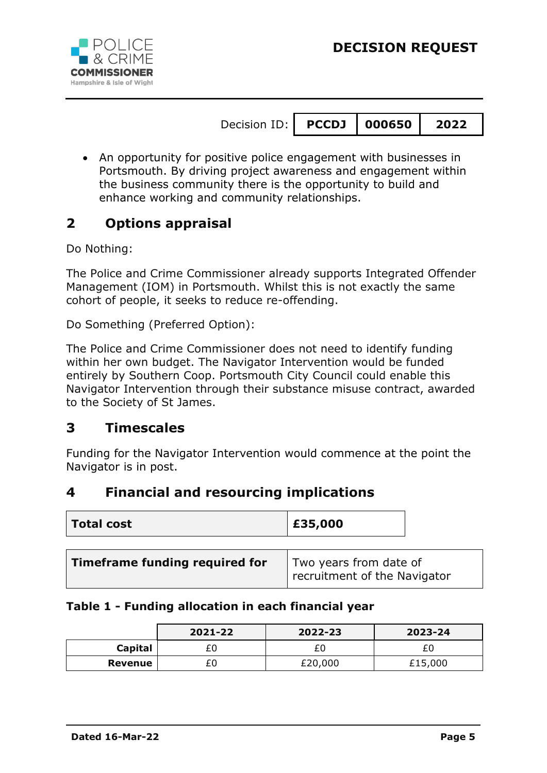

 An opportunity for positive police engagement with businesses in Portsmouth. By driving project awareness and engagement within the business community there is the opportunity to build and enhance working and community relationships.

# **2 Options appraisal**

Do Nothing:

The Police and Crime Commissioner already supports Integrated Offender Management (IOM) in Portsmouth. Whilst this is not exactly the same cohort of people, it seeks to reduce re-offending.

Do Something (Preferred Option):

The Police and Crime Commissioner does not need to identify funding within her own budget. The Navigator Intervention would be funded entirely by Southern Coop. Portsmouth City Council could enable this Navigator Intervention through their substance misuse contract, awarded to the Society of St James.

### **3 Timescales**

Funding for the Navigator Intervention would commence at the point the Navigator is in post.

### **4 Financial and resourcing implications**

| Total cost                     | £35,000                                                |  |
|--------------------------------|--------------------------------------------------------|--|
|                                |                                                        |  |
| Timeframe funding required for | Two years from date of<br>recruitment of the Navigator |  |

#### **Table 1 - Funding allocation in each financial year**

|         | 2021-22 | 2022-23 | 2023-24 |
|---------|---------|---------|---------|
| Capital | £0      |         |         |
| Revenue | £0      | £20,000 | £15,000 |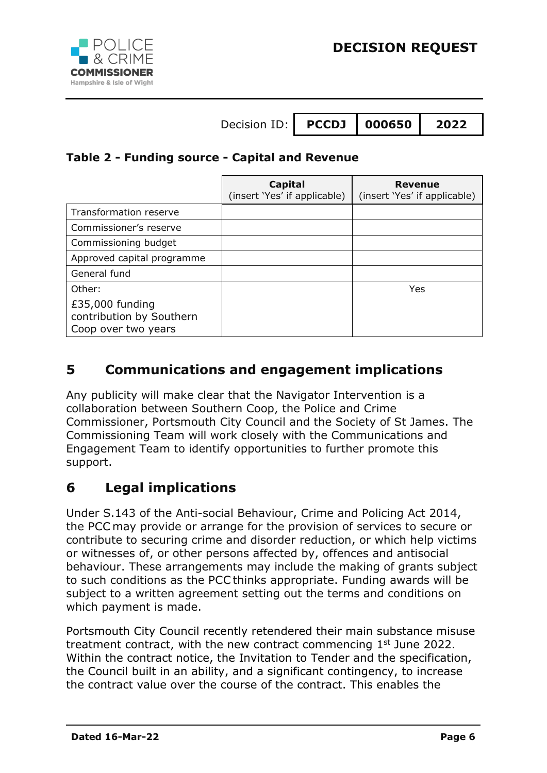

### **Table 2 - Funding source - Capital and Revenue**

|                                                                    | Capital<br>(insert 'Yes' if applicable) | <b>Revenue</b><br>(insert 'Yes' if applicable) |
|--------------------------------------------------------------------|-----------------------------------------|------------------------------------------------|
| Transformation reserve                                             |                                         |                                                |
| Commissioner's reserve                                             |                                         |                                                |
| Commissioning budget                                               |                                         |                                                |
| Approved capital programme                                         |                                         |                                                |
| General fund                                                       |                                         |                                                |
| Other:                                                             |                                         | Yes                                            |
| £35,000 funding<br>contribution by Southern<br>Coop over two years |                                         |                                                |

# **5 Communications and engagement implications**

Any publicity will make clear that the Navigator Intervention is a collaboration between Southern Coop, the Police and Crime Commissioner, Portsmouth City Council and the Society of St James. The Commissioning Team will work closely with the Communications and Engagement Team to identify opportunities to further promote this support.

# **6 Legal implications**

Under S.143 of the Anti-social Behaviour, Crime and Policing Act 2014, the PCC may provide or arrange for the provision of services to secure or contribute to securing crime and disorder reduction, or which help victims or witnesses of, or other persons affected by, offences and antisocial behaviour. These arrangements may include the making of grants subject to such conditions as the PCC thinks appropriate. Funding awards will be subject to a written agreement setting out the terms and conditions on which payment is made.

Portsmouth City Council recently retendered their main substance misuse treatment contract, with the new contract commencing  $1<sup>st</sup>$  June 2022. Within the contract notice, the Invitation to Tender and the specification, the Council built in an ability, and a significant contingency, to increase the contract value over the course of the contract. This enables the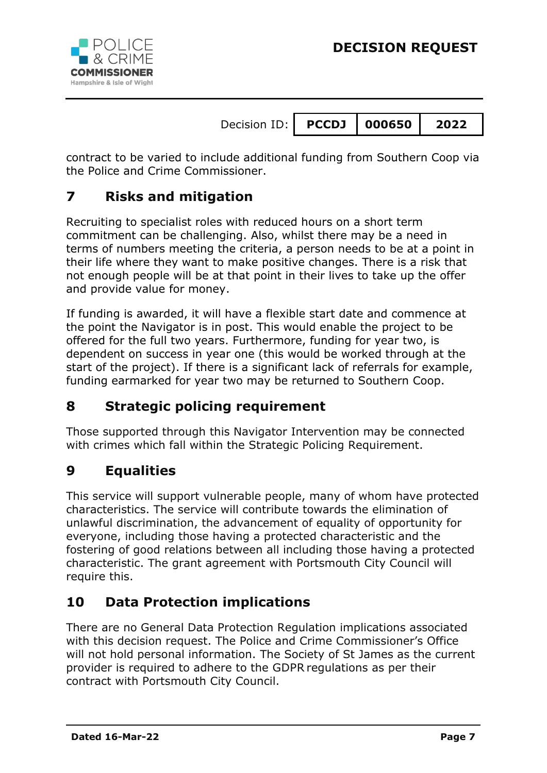

contract to be varied to include additional funding from Southern Coop via the Police and Crime Commissioner.

# **7 Risks and mitigation**

Recruiting to specialist roles with reduced hours on a short term commitment can be challenging. Also, whilst there may be a need in terms of numbers meeting the criteria, a person needs to be at a point in their life where they want to make positive changes. There is a risk that not enough people will be at that point in their lives to take up the offer and provide value for money.

If funding is awarded, it will have a flexible start date and commence at the point the Navigator is in post. This would enable the project to be offered for the full two years. Furthermore, funding for year two, is dependent on success in year one (this would be worked through at the start of the project). If there is a significant lack of referrals for example, funding earmarked for year two may be returned to Southern Coop.

# **8 Strategic policing requirement**

Those supported through this Navigator Intervention may be connected with crimes which fall within the Strategic Policing Requirement.

# **9 Equalities**

This service will support vulnerable people, many of whom have protected characteristics. The service will contribute towards the elimination of unlawful discrimination, the advancement of equality of opportunity for everyone, including those having a protected characteristic and the fostering of good relations between all including those having a protected characteristic. The grant agreement with Portsmouth City Council will require this.

# **10 Data Protection implications**

There are no General Data Protection Regulation implications associated with this decision request. The Police and Crime Commissioner's Office will not hold personal information. The Society of St James as the current provider is required to adhere to the GDPR regulations as per their contract with Portsmouth City Council.